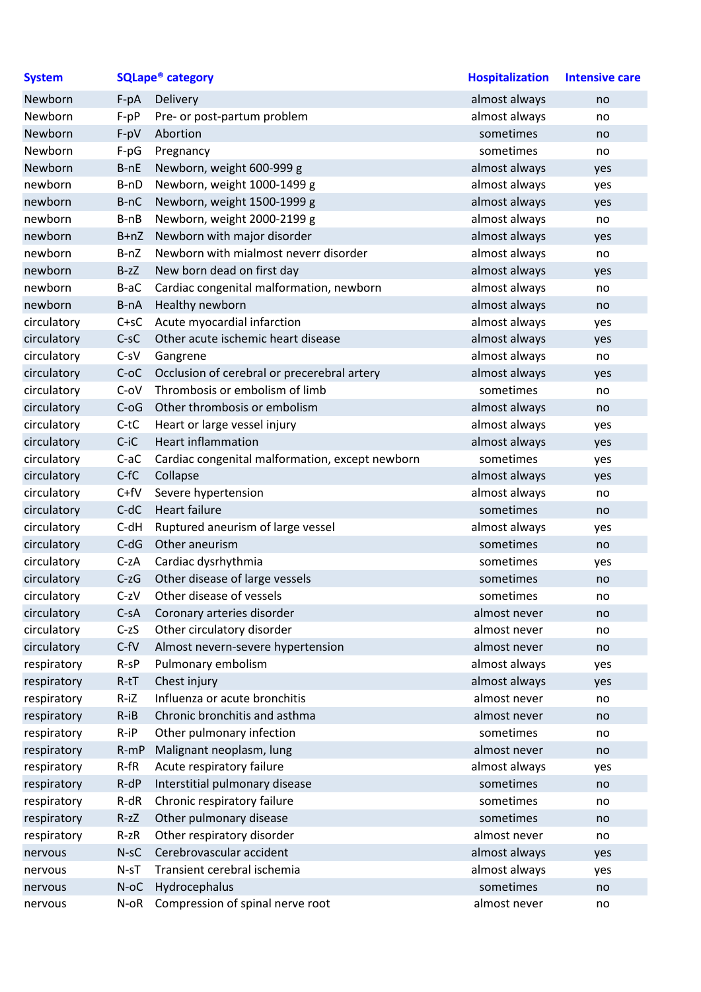| <b>System</b> | <b>SQLape<sup>®</sup> category</b> |                                                 | <b>Hospitalization</b> | <b>Intensive care</b> |
|---------------|------------------------------------|-------------------------------------------------|------------------------|-----------------------|
| Newborn       | $F-pA$                             | Delivery                                        | almost always          | no                    |
| Newborn       | $F-pP$                             | Pre- or post-partum problem                     | almost always          | no                    |
| Newborn       | $F-pV$                             | Abortion                                        | sometimes              | no                    |
| Newborn       | $F-pG$                             | Pregnancy                                       | sometimes              | no                    |
| Newborn       | $B-nE$                             | Newborn, weight 600-999 g                       | almost always          | yes                   |
| newborn       | B-nD                               | Newborn, weight 1000-1499 g                     | almost always          | yes                   |
| newborn       | B-nC                               | Newborn, weight 1500-1999 g                     | almost always          | yes                   |
| newborn       | $B-nB$                             | Newborn, weight 2000-2199 g                     | almost always          | no                    |
| newborn       | $B+nZ$                             | Newborn with major disorder                     | almost always          | yes                   |
| newborn       | B-nZ                               | Newborn with mialmost neverr disorder           | almost always          | no                    |
| newborn       | $B-zZ$                             | New born dead on first day                      | almost always          | yes                   |
| newborn       | B-aC                               | Cardiac congenital malformation, newborn        | almost always          | no                    |
| newborn       | B-nA                               | Healthy newborn                                 | almost always          | no                    |
| circulatory   | $C+SC$                             | Acute myocardial infarction                     | almost always          | yes                   |
| circulatory   | $C-SC$                             | Other acute ischemic heart disease              | almost always          | yes                   |
| circulatory   | $C-SV$                             | Gangrene                                        | almost always          | no                    |
| circulatory   | $C-OC$                             | Occlusion of cerebral or precerebral artery     | almost always          | yes                   |
| circulatory   | $C-OV$                             | Thrombosis or embolism of limb                  | sometimes              | no                    |
| circulatory   | $C-OG$                             | Other thrombosis or embolism                    | almost always          | no                    |
| circulatory   | $C-tC$                             | Heart or large vessel injury                    | almost always          | yes                   |
| circulatory   | $C$ -i $C$                         | <b>Heart inflammation</b>                       | almost always          | yes                   |
| circulatory   | $C$ -a $C$                         | Cardiac congenital malformation, except newborn | sometimes              | yes                   |
| circulatory   | $C-fC$                             | Collapse                                        | almost always          | yes                   |
| circulatory   | $C+fV$                             | Severe hypertension                             | almost always          | no                    |
| circulatory   | $C-dC$                             | <b>Heart failure</b>                            | sometimes              | no                    |
| circulatory   | $C-dH$                             | Ruptured aneurism of large vessel               | almost always          | yes                   |
| circulatory   | $C-dG$                             | Other aneurism                                  | sometimes              | no                    |
| circulatory   | $C-zA$                             | Cardiac dysrhythmia                             | sometimes              | yes                   |
| circulatory   | $C-zG$                             | Other disease of large vessels                  | sometimes              | no                    |
| circulatory   | $C-zV$                             | Other disease of vessels                        | sometimes              | no                    |
| circulatory   | $C-SA$                             | Coronary arteries disorder                      | almost never           | no                    |
| circulatory   | $C-zS$                             | Other circulatory disorder                      | almost never           | no                    |
| circulatory   | $C$ -fV                            | Almost nevern-severe hypertension               | almost never           | no                    |
| respiratory   | $R-SP$                             | Pulmonary embolism                              | almost always          | yes                   |
| respiratory   | $R-tT$                             | Chest injury                                    | almost always          | yes                   |
| respiratory   | $R-iZ$                             | Influenza or acute bronchitis                   | almost never           | no                    |
| respiratory   | $R - iB$                           | Chronic bronchitis and asthma                   | almost never           | no                    |
| respiratory   | $R - iP$                           | Other pulmonary infection                       | sometimes              | no                    |
| respiratory   | $R-mP$                             | Malignant neoplasm, lung                        | almost never           | no                    |
| respiratory   | $R$ -f $R$                         | Acute respiratory failure                       | almost always          | yes                   |
| respiratory   | $R-dP$                             | Interstitial pulmonary disease                  | sometimes              | no                    |
| respiratory   | $R-dR$                             | Chronic respiratory failure                     | sometimes              | no                    |
| respiratory   | $R-zZ$                             | Other pulmonary disease                         | sometimes              | no                    |
| respiratory   | $R-zR$                             | Other respiratory disorder                      | almost never           | no                    |
| nervous       | $N-SC$                             | Cerebrovascular accident                        | almost always          | yes                   |
| nervous       | N-sT                               | Transient cerebral ischemia                     | almost always          | yes                   |
| nervous       | $N$ -oC                            | Hydrocephalus                                   | sometimes              | no                    |
| nervous       | N-oR                               | Compression of spinal nerve root                | almost never           | no                    |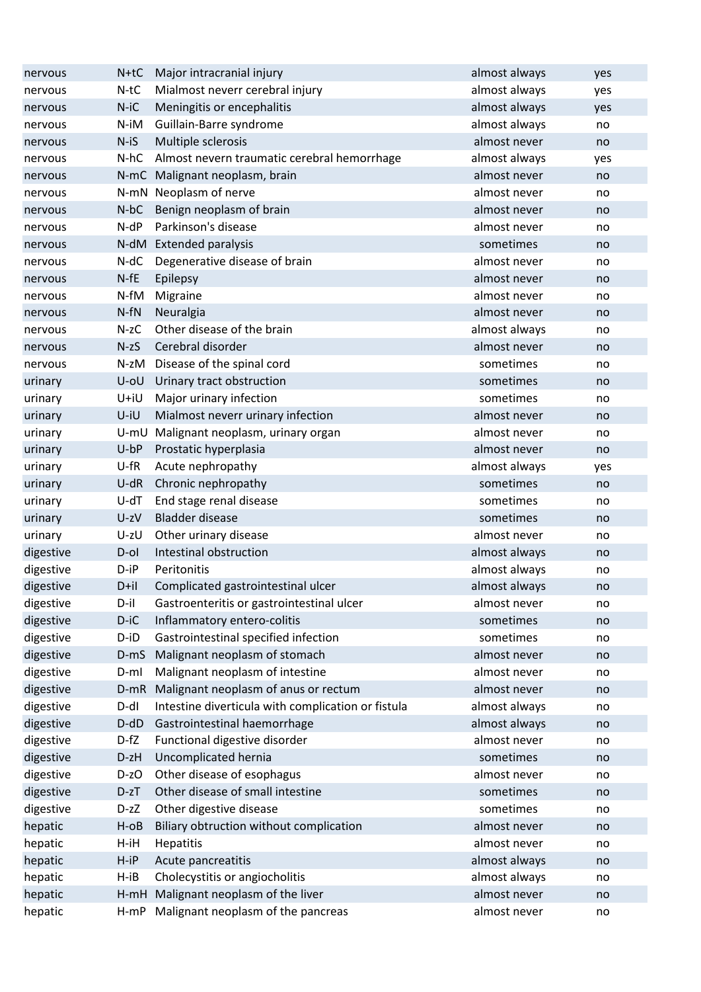| Major intracranial injury<br>$N+tC$<br>nervous                          | almost always<br>yes |  |
|-------------------------------------------------------------------------|----------------------|--|
| $N-tC$<br>Mialmost neverr cerebral injury<br>nervous                    | almost always<br>yes |  |
| $N-iC$<br>Meningitis or encephalitis<br>nervous                         | almost always<br>yes |  |
| N-iM<br>Guillain-Barre syndrome<br>nervous                              | almost always<br>no  |  |
| $N-iS$<br>Multiple sclerosis<br>nervous                                 | almost never<br>no   |  |
| $N-hC$<br>Almost nevern traumatic cerebral hemorrhage<br>nervous        | almost always<br>yes |  |
| N-mC Malignant neoplasm, brain<br>nervous                               | almost never<br>no   |  |
| N-mN Neoplasm of nerve<br>nervous                                       | almost never<br>no   |  |
| Benign neoplasm of brain<br>$N-bC$<br>nervous                           | almost never<br>no   |  |
| Parkinson's disease<br>$N-dP$<br>nervous                                | almost never<br>no   |  |
| N-dM Extended paralysis<br>nervous                                      | sometimes<br>no      |  |
| $N-dC$<br>Degenerative disease of brain<br>nervous                      | almost never<br>no   |  |
| $N$ -fE<br>Epilepsy<br>nervous                                          | almost never<br>no   |  |
| N-fM<br>Migraine<br>nervous                                             | almost never<br>no   |  |
| $N-fN$<br>Neuralgia<br>nervous                                          | almost never<br>no   |  |
| Other disease of the brain<br>$N-zC$<br>nervous                         | almost always<br>no  |  |
| Cerebral disorder<br>$N-zS$<br>nervous                                  | almost never<br>no   |  |
| Disease of the spinal cord<br>N-zM<br>nervous                           | sometimes<br>no      |  |
| Urinary tract obstruction<br>U-oU<br>urinary                            | sometimes<br>no      |  |
| U+iU<br>Major urinary infection<br>urinary                              | sometimes<br>no      |  |
| U-iU<br>Mialmost neverr urinary infection<br>urinary                    | almost never<br>no   |  |
| U-mU Malignant neoplasm, urinary organ<br>urinary                       | almost never<br>no   |  |
| $U$ -b $P$<br>Prostatic hyperplasia<br>urinary                          | almost never<br>no   |  |
| U-fR<br>Acute nephropathy<br>urinary                                    | almost always<br>yes |  |
| Chronic nephropathy<br>$U-dR$<br>urinary                                | sometimes<br>no      |  |
| End stage renal disease<br>$U$ -d $T$<br>urinary                        | sometimes<br>no      |  |
| <b>Bladder disease</b><br>U-zV<br>urinary                               | sometimes<br>no      |  |
| Other urinary disease<br>urinary<br>U-zU                                | almost never<br>no   |  |
| Intestinal obstruction<br>digestive<br>D-ol                             | almost always<br>no  |  |
| digestive<br>D-iP<br>Peritonitis                                        | almost always<br>no  |  |
| digestive<br>Complicated gastrointestinal ulcer<br>D+il                 | almost always<br>no  |  |
| D-il<br>Gastroenteritis or gastrointestinal ulcer<br>digestive          | almost never<br>no   |  |
| digestive<br>D-iC<br>Inflammatory entero-colitis                        | sometimes<br>no      |  |
| digestive<br>Gastrointestinal specified infection<br>D-iD               | sometimes<br>no      |  |
| digestive<br>Malignant neoplasm of stomach<br>$D-mS$                    | almost never<br>no   |  |
| Malignant neoplasm of intestine<br>digestive<br>$D-ml$                  | almost never<br>no   |  |
| digestive<br>Malignant neoplasm of anus or rectum<br>$D-mR$             | almost never<br>no   |  |
| Intestine diverticula with complication or fistula<br>digestive<br>D-dl | almost always<br>no  |  |
| digestive<br>$D-dD$<br>Gastrointestinal haemorrhage                     | almost always<br>no  |  |
| $D-fZ$<br>digestive<br>Functional digestive disorder                    | almost never<br>no   |  |
| Uncomplicated hernia<br>digestive<br>D-zH                               | sometimes<br>no      |  |
| Other disease of esophagus<br>digestive<br>D-zO                         | almost never<br>no   |  |
| Other disease of small intestine<br>digestive<br>$D-zT$                 | sometimes<br>no      |  |
| digestive<br>Other digestive disease<br>D-zZ                            | sometimes<br>no      |  |
| hepatic<br>Biliary obtruction without complication<br>$H$ -0 $B$        | almost never<br>no   |  |
| hepatic<br>$H$ -iH<br>Hepatitis                                         | almost never<br>no   |  |
| hepatic<br>Acute pancreatitis<br>$H$ -i $P$                             | almost always<br>no  |  |
| Cholecystitis or angiocholitis<br>hepatic<br>$H - iB$                   | almost always<br>no  |  |
| Malignant neoplasm of the liver<br>hepatic<br>$H-mH$                    | almost never<br>no   |  |
|                                                                         |                      |  |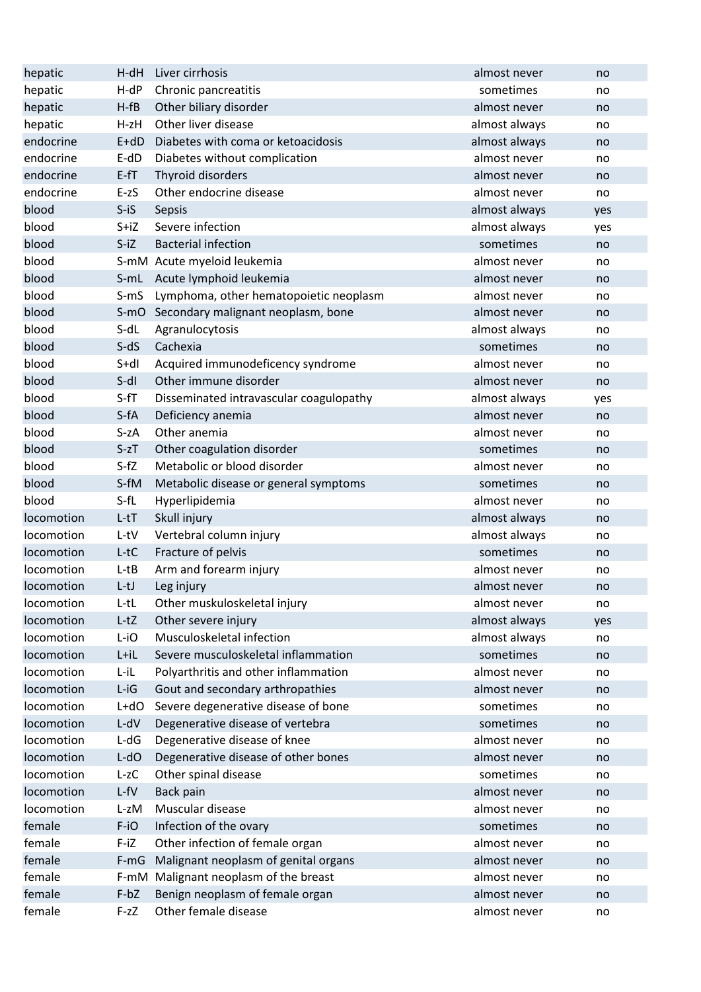| hepatic    | $H-dH$     | Liver cirrhosis                         | almost never  | no  |
|------------|------------|-----------------------------------------|---------------|-----|
| hepatic    | $H-dP$     | Chronic pancreatitis                    | sometimes     | no  |
| hepatic    | $H-fB$     | Other biliary disorder                  | almost never  | no  |
| hepatic    | $H-zH$     | Other liver disease                     | almost always | no  |
| endocrine  | $E+dD$     | Diabetes with coma or ketoacidosis      | almost always | no  |
| endocrine  | $E-dD$     | Diabetes without complication           | almost never  | no  |
| endocrine  | $E$ -fT    | Thyroid disorders                       | almost never  | no  |
| endocrine  | $E-zS$     | Other endocrine disease                 | almost never  | no  |
| blood      | $S - iS$   | Sepsis                                  | almost always | yes |
| blood      | $S+iZ$     | Severe infection                        | almost always | yes |
| blood      | $S-IZ$     | <b>Bacterial infection</b>              | sometimes     | no  |
| blood      |            | S-mM Acute myeloid leukemia             | almost never  | no  |
| blood      | S-mL       | Acute lymphoid leukemia                 | almost never  | no  |
| blood      | $S-mS$     | Lymphoma, other hematopoietic neoplasm  | almost never  | no  |
| blood      |            | S-mO Secondary malignant neoplasm, bone | almost never  | no  |
| blood      | S-dL       | Agranulocytosis                         | almost always | no  |
| blood      | $S-dS$     | Cachexia                                | sometimes     | no  |
| blood      | $S+dl$     | Acquired immunodeficency syndrome       | almost never  | no  |
| blood      | $S-dI$     | Other immune disorder                   | almost never  | no  |
| blood      | $S-fT$     | Disseminated intravascular coagulopathy | almost always | yes |
| blood      | S-fA       | Deficiency anemia                       | almost never  | no  |
| blood      | $S-zA$     | Other anemia                            | almost never  | no  |
| blood      | $S-zT$     | Other coagulation disorder              | sometimes     | no  |
| blood      | $S-fZ$     | Metabolic or blood disorder             | almost never  | no  |
| blood      | S-fM       | Metabolic disease or general symptoms   | sometimes     | no  |
| blood      | $S-fL$     | Hyperlipidemia                          | almost never  | no  |
| locomotion | $L-tT$     | Skull injury                            | almost always | no  |
| locomotion | L-tV       | Vertebral column injury                 | almost always | no  |
| locomotion | L-tC       | Fracture of pelvis                      | sometimes     | no  |
| locomotion | $L-tB$     | Arm and forearm injury                  | almost never  | no  |
| locomotion | $L-tJ$     | Leg injury                              | almost never  | no  |
| locomotion | L-tL       | Other muskuloskeletal injury            | almost never  | no  |
| locomotion | $L-tZ$     | Other severe injury                     | almost always | yes |
| locomotion | L-iO       | Musculoskeletal infection               | almost always | no  |
| locomotion | L+iL       | Severe musculoskeletal inflammation     | sometimes     | no  |
| locomotion | $L$ -i $L$ | Polyarthritis and other inflammation    | almost never  | no  |
| locomotion | $L$ -iG    | Gout and secondary arthropathies        | almost never  | no  |
| locomotion | $L+dO$     | Severe degenerative disease of bone     | sometimes     | no  |
| locomotion | $L-dV$     | Degenerative disease of vertebra        | sometimes     | no  |
| locomotion | $L-dG$     | Degenerative disease of knee            | almost never  | no  |
| locomotion | $L-dO$     | Degenerative disease of other bones     | almost never  | no  |
| locomotion | $L-zC$     | Other spinal disease                    | sometimes     | no  |
| locomotion | $L$ -fV    | Back pain                               | almost never  | no  |
| locomotion | L-zM       | Muscular disease                        | almost never  | no  |
| female     | F-iO       | Infection of the ovary                  | sometimes     | no  |
| female     | $F-IZ$     | Other infection of female organ         | almost never  | no  |
| female     | $F-mG$     | Malignant neoplasm of genital organs    | almost never  | no  |
| female     |            | F-mM Malignant neoplasm of the breast   | almost never  | no  |
| female     | $F-bZ$     | Benign neoplasm of female organ         | almost never  | no  |
| female     | $F-zZ$     | Other female disease                    | almost never  | no  |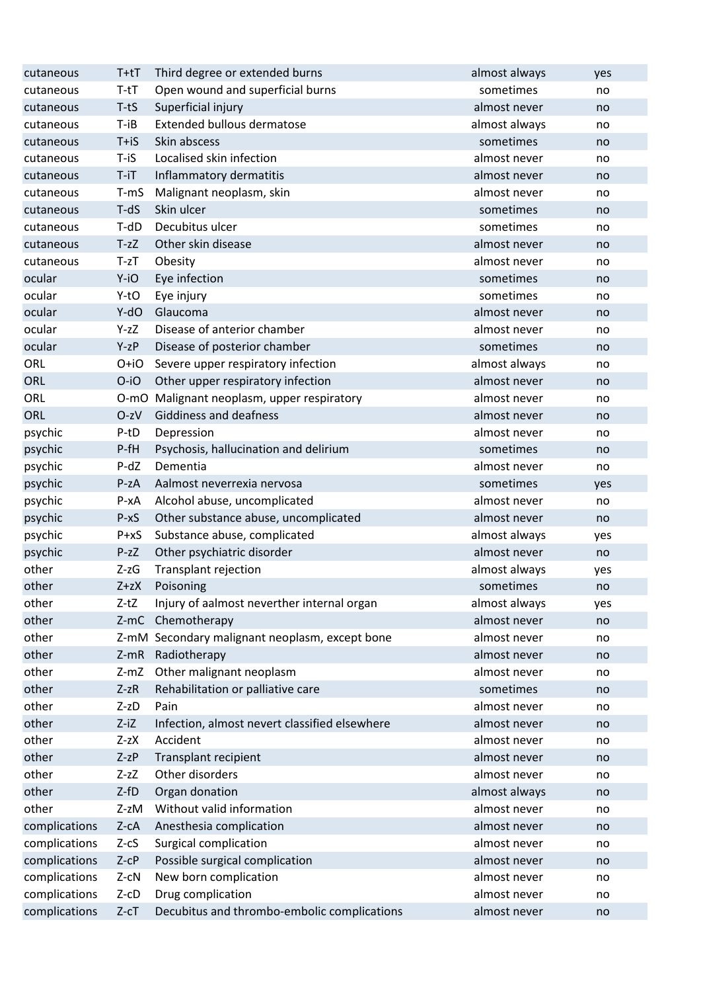| cutaneous     | T+tT       | Third degree or extended burns                 | almost always | yes |
|---------------|------------|------------------------------------------------|---------------|-----|
| cutaneous     | $T-tT$     | Open wound and superficial burns               | sometimes     | no  |
| cutaneous     | $T-tS$     | Superficial injury                             | almost never  | no  |
| cutaneous     | $T - iB$   | <b>Extended bullous dermatose</b>              | almost always | no  |
| cutaneous     | $T + iS$   | Skin abscess                                   | sometimes     | no  |
| cutaneous     | T-iS       | Localised skin infection                       | almost never  | no  |
| cutaneous     | $T - iT$   | Inflammatory dermatitis                        | almost never  | no  |
| cutaneous     | T-mS       | Malignant neoplasm, skin                       | almost never  | no  |
| cutaneous     | $T-dS$     | Skin ulcer                                     | sometimes     | no  |
| cutaneous     | T-dD       | Decubitus ulcer                                | sometimes     | no  |
| cutaneous     | $T-zZ$     | Other skin disease                             | almost never  | no  |
| cutaneous     | $T-zT$     | Obesity                                        | almost never  | no  |
| ocular        | Y-iO       | Eye infection                                  | sometimes     | no  |
| ocular        | Y-tO       | Eye injury                                     | sometimes     | no  |
| ocular        | Y-dO       | Glaucoma                                       | almost never  | no  |
| ocular        | Y-zZ       | Disease of anterior chamber                    | almost never  | no  |
| ocular        | $Y-zP$     | Disease of posterior chamber                   | sometimes     | no  |
| ORL           | O+iO       | Severe upper respiratory infection             | almost always | no  |
| <b>ORL</b>    | O-iO       | Other upper respiratory infection              | almost never  | no  |
| ORL           |            | O-mO Malignant neoplasm, upper respiratory     | almost never  | no  |
| <b>ORL</b>    | $O-zV$     | Giddiness and deafness                         | almost never  | no  |
| psychic       | P-tD       | Depression                                     | almost never  | no  |
| psychic       | $P-fH$     | Psychosis, hallucination and delirium          | sometimes     | no  |
| psychic       | $P-dZ$     | Dementia                                       | almost never  | no  |
| psychic       | $P-ZA$     | Aalmost neverrexia nervosa                     | sometimes     | yes |
| psychic       | $P - XA$   | Alcohol abuse, uncomplicated                   | almost never  | no  |
| psychic       | $P - xS$   | Other substance abuse, uncomplicated           | almost never  | no  |
| psychic       | $P+XS$     | Substance abuse, complicated                   | almost always | yes |
| psychic       | $P-zZ$     | Other psychiatric disorder                     | almost never  | no  |
| other         | $Z-zG$     | Transplant rejection                           | almost always | yes |
| other         | $Z + zX$   | Poisoning                                      | sometimes     | no  |
| other         | $Z-tZ$     | Injury of aalmost neverther internal organ     | almost always | yes |
| other         |            | Z-mC Chemotherapy                              | almost never  | no  |
| other         |            | Z-mM Secondary malignant neoplasm, except bone | almost never  | no  |
| other         | $Z-mR$     | Radiotherapy                                   | almost never  | no  |
| other         | $Z-mZ$     | Other malignant neoplasm                       | almost never  | no  |
| other         | $Z-zR$     | Rehabilitation or palliative care              | sometimes     | no  |
| other         | $Z-zD$     | Pain                                           | almost never  | no  |
| other         | $Z$ -iZ    | Infection, almost nevert classified elsewhere  | almost never  | no  |
| other         | $Z-zX$     | Accident                                       | almost never  | no  |
| other         | $Z-zP$     | Transplant recipient                           | almost never  | no  |
| other         | $Z-zZ$     | Other disorders                                | almost never  | no  |
| other         | $Z-fD$     | Organ donation                                 | almost always | no  |
| other         | Z-zM       | Without valid information                      | almost never  | no  |
| complications | $Z-cA$     | Anesthesia complication                        | almost never  | no  |
| complications | $Z-cS$     | Surgical complication                          | almost never  | no  |
| complications | $Z$ -c $P$ | Possible surgical complication                 | almost never  | no  |
| complications | $Z-cN$     | New born complication                          | almost never  | no  |
| complications | $Z$ -c $D$ | Drug complication                              | almost never  | no  |
| complications | $Z-cT$     | Decubitus and thrombo-embolic complications    | almost never  | no  |
|               |            |                                                |               |     |